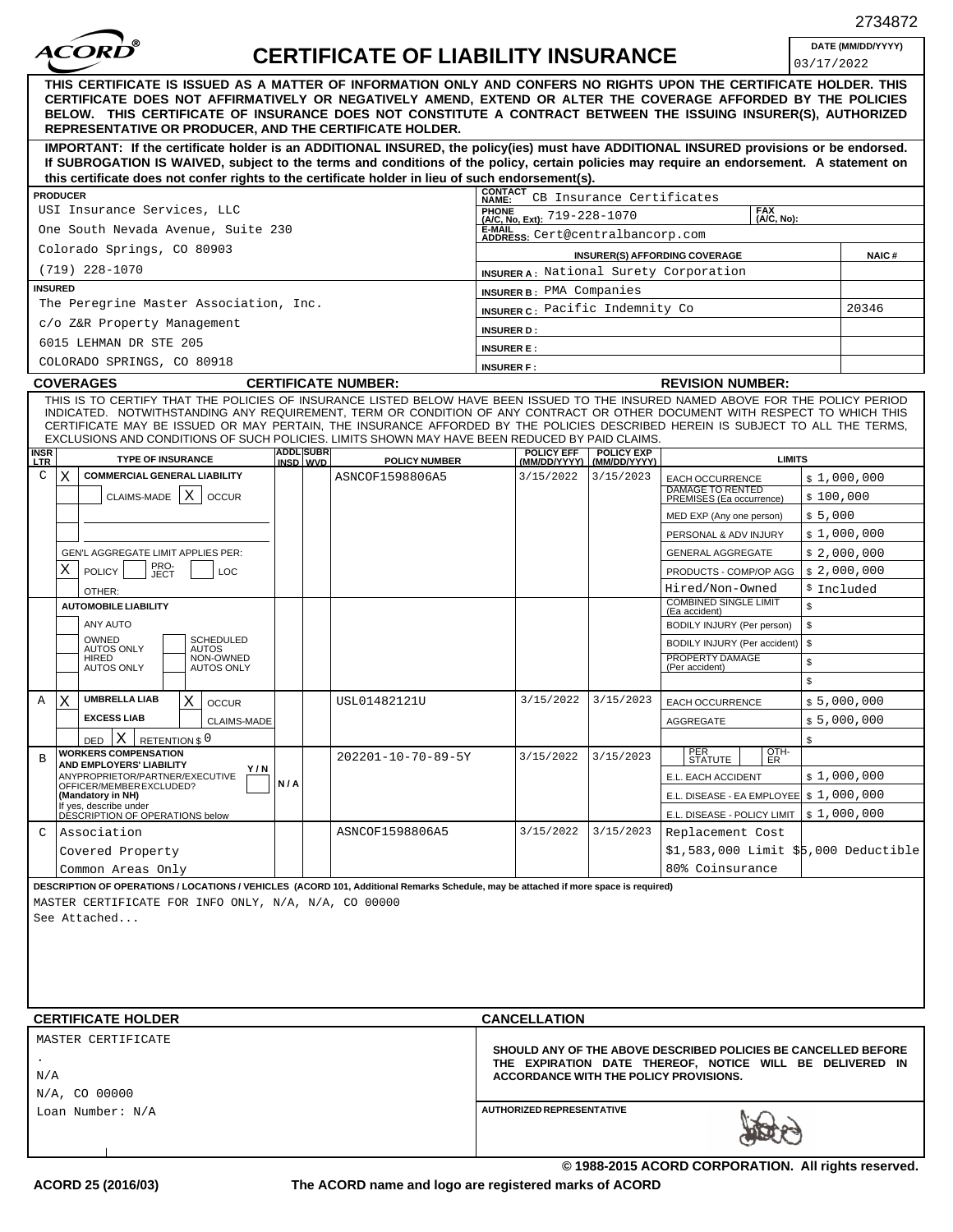| <i><b>ACORD</b></i>                                                                                                                                                                                                                                                                                                                                                                                                                                                                                |                                                                                                                            | <b>CERTIFICATE OF LIABILITY INSURANCE</b> |                                                                      |                                   |                                                                                         |               | DATE (MM/DD/YYYY) |  |
|----------------------------------------------------------------------------------------------------------------------------------------------------------------------------------------------------------------------------------------------------------------------------------------------------------------------------------------------------------------------------------------------------------------------------------------------------------------------------------------------------|----------------------------------------------------------------------------------------------------------------------------|-------------------------------------------|----------------------------------------------------------------------|-----------------------------------|-----------------------------------------------------------------------------------------|---------------|-------------------|--|
| THIS CERTIFICATE IS ISSUED AS A MATTER OF INFORMATION ONLY AND CONFERS NO RIGHTS UPON THE CERTIFICATE HOLDER. THIS                                                                                                                                                                                                                                                                                                                                                                                 |                                                                                                                            |                                           |                                                                      |                                   |                                                                                         | 03/17/2022    |                   |  |
| CERTIFICATE DOES NOT AFFIRMATIVELY OR NEGATIVELY AMEND, EXTEND OR ALTER THE COVERAGE AFFORDED BY THE POLICIES<br>BELOW. THIS CERTIFICATE OF INSURANCE DOES NOT CONSTITUTE A CONTRACT BETWEEN THE ISSUING INSURER(S), AUTHORIZED<br>REPRESENTATIVE OR PRODUCER, AND THE CERTIFICATE HOLDER.                                                                                                                                                                                                         |                                                                                                                            |                                           |                                                                      |                                   |                                                                                         |               |                   |  |
| IMPORTANT: If the certificate holder is an ADDITIONAL INSURED, the policy(ies) must have ADDITIONAL INSURED provisions or be endorsed.<br>If SUBROGATION IS WAIVED, subject to the terms and conditions of the policy, certain policies may require an endorsement. A statement on<br>this certificate does not confer rights to the certificate holder in lieu of such endorsement(s).                                                                                                            |                                                                                                                            |                                           |                                                                      |                                   |                                                                                         |               |                   |  |
| <b>PRODUCER</b>                                                                                                                                                                                                                                                                                                                                                                                                                                                                                    | <b>CONTACT</b><br>CB Insurance Certificates<br>NAME:                                                                       |                                           |                                                                      |                                   |                                                                                         |               |                   |  |
| USI Insurance Services, LLC                                                                                                                                                                                                                                                                                                                                                                                                                                                                        |                                                                                                                            |                                           | <b>FAX</b><br>PHONE<br>(A/C, No, Ext): 719-228-1070<br>$(A/C, No)$ . |                                   |                                                                                         |               |                   |  |
| One South Nevada Avenue, Suite 230                                                                                                                                                                                                                                                                                                                                                                                                                                                                 | E-MAIL<br>ADDRESS: Cert@centralbancorp.com                                                                                 |                                           |                                                                      |                                   |                                                                                         |               |                   |  |
| Colorado Springs, CO 80903                                                                                                                                                                                                                                                                                                                                                                                                                                                                         | INSURER(S) AFFORDING COVERAGE                                                                                              | <b>NAIC#</b>                              |                                                                      |                                   |                                                                                         |               |                   |  |
| $(719)$ 228-1070                                                                                                                                                                                                                                                                                                                                                                                                                                                                                   |                                                                                                                            |                                           | <b>INSURER A: National Surety Corporation</b>                        |                                   |                                                                                         |               |                   |  |
| <b>INSURED</b>                                                                                                                                                                                                                                                                                                                                                                                                                                                                                     |                                                                                                                            |                                           | INSURER B: PMA Companies                                             |                                   |                                                                                         |               |                   |  |
| The Peregrine Master Association, Inc.                                                                                                                                                                                                                                                                                                                                                                                                                                                             |                                                                                                                            |                                           | INSURER C: Pacific Indemnity Co                                      |                                   |                                                                                         |               | 20346             |  |
| c/o Z&R Property Management                                                                                                                                                                                                                                                                                                                                                                                                                                                                        |                                                                                                                            |                                           | <b>INSURER D:</b>                                                    |                                   |                                                                                         |               |                   |  |
| 6015 LEHMAN DR STE 205                                                                                                                                                                                                                                                                                                                                                                                                                                                                             | <b>INSURER E:</b>                                                                                                          |                                           |                                                                      |                                   |                                                                                         |               |                   |  |
| COLORADO SPRINGS, CO 80918                                                                                                                                                                                                                                                                                                                                                                                                                                                                         |                                                                                                                            |                                           | <b>INSURER F:</b>                                                    |                                   |                                                                                         |               |                   |  |
| <b>COVERAGES</b>                                                                                                                                                                                                                                                                                                                                                                                                                                                                                   |                                                                                                                            | <b>CERTIFICATE NUMBER:</b>                |                                                                      |                                   | <b>REVISION NUMBER:</b>                                                                 |               |                   |  |
| THIS IS TO CERTIFY THAT THE POLICIES OF INSURANCE LISTED BELOW HAVE BEEN ISSUED TO THE INSURED NAMED ABOVE FOR THE POLICY PERIOD<br>INDICATED. NOTWITHSTANDING ANY REQUIREMENT, TERM OR CONDITION OF ANY CONTRACT OR OTHER DOCUMENT WITH RESPECT TO WHICH THIS<br>CERTIFICATE MAY BE ISSUED OR MAY PERTAIN. THE INSURANCE AFFORDED BY THE POLICIES DESCRIBED HEREIN IS SUBJECT TO ALL THE TERMS.<br>EXCLUSIONS AND CONDITIONS OF SUCH POLICIES. LIMITS SHOWN MAY HAVE BEEN REDUCED BY PAID CLAIMS. |                                                                                                                            |                                           |                                                                      |                                   |                                                                                         |               |                   |  |
| <b>INSR</b><br>LTR<br><b>TYPE OF INSURANCE</b>                                                                                                                                                                                                                                                                                                                                                                                                                                                     | <b>ADDL SUBR</b><br>INSD WVD                                                                                               | <b>POLICY NUMBER</b>                      | POLICY EFF                                                           | <b>POLICY EXP</b><br>(MM/DD/YYYY) |                                                                                         | <b>LIMITS</b> |                   |  |
| $\mathsf C$<br><b>COMMERCIAL GENERAL LIABILITY</b><br>X.                                                                                                                                                                                                                                                                                                                                                                                                                                           |                                                                                                                            | ASNCOF1598806A5                           | 3/15/2022                                                            | 3/15/2023                         | <b>EACH OCCURRENCE</b>                                                                  |               | \$1,000,000       |  |
| X<br>CLAIMS-MADE  <br><b>OCCUR</b>                                                                                                                                                                                                                                                                                                                                                                                                                                                                 |                                                                                                                            |                                           |                                                                      |                                   | <b>DAMAGE TO RENTED</b><br>PREMISES (Ea occurrence)                                     | \$100,000     |                   |  |
|                                                                                                                                                                                                                                                                                                                                                                                                                                                                                                    |                                                                                                                            |                                           |                                                                      |                                   | MED EXP (Any one person)                                                                | \$5,000       |                   |  |
|                                                                                                                                                                                                                                                                                                                                                                                                                                                                                                    |                                                                                                                            |                                           |                                                                      |                                   | PERSONAL & ADV INJURY                                                                   |               | \$1,000,000       |  |
| GEN'L AGGREGATE LIMIT APPLIES PER:                                                                                                                                                                                                                                                                                                                                                                                                                                                                 |                                                                                                                            |                                           |                                                                      |                                   | <b>GENERAL AGGREGATE</b>                                                                |               | \$2,000,000       |  |
| PRO-<br>JECT<br>X<br><b>POLICY</b><br>LOC                                                                                                                                                                                                                                                                                                                                                                                                                                                          |                                                                                                                            |                                           |                                                                      |                                   | PRODUCTS - COMP/OP AGG                                                                  | \$2,000,000   |                   |  |
| OTHER:                                                                                                                                                                                                                                                                                                                                                                                                                                                                                             |                                                                                                                            |                                           |                                                                      |                                   | Hired/Non-Owned                                                                         |               | \$ Included       |  |
| <b>AUTOMOBILE LIABILITY</b>                                                                                                                                                                                                                                                                                                                                                                                                                                                                        |                                                                                                                            |                                           |                                                                      |                                   | <b>COMBINED SINGLE LIMIT</b><br>(Ea accident)                                           | \$            |                   |  |
| ANY AUTO<br>OWNED                                                                                                                                                                                                                                                                                                                                                                                                                                                                                  |                                                                                                                            |                                           |                                                                      |                                   | BODILY INJURY (Per person)                                                              | \$            |                   |  |
| SCHEDULED<br><b>AUTOS ONLY</b><br><b>AUTOS</b><br>NON-OWNED<br>HIRED                                                                                                                                                                                                                                                                                                                                                                                                                               |                                                                                                                            |                                           |                                                                      |                                   | BODILY INJURY (Per accident)<br>PROPERTY DAMAGE                                         | \$            |                   |  |
| <b>AUTOS ONLY</b><br><b>AUTOS ONLY</b>                                                                                                                                                                                                                                                                                                                                                                                                                                                             |                                                                                                                            |                                           |                                                                      |                                   | (Per accident)                                                                          | \$            |                   |  |
|                                                                                                                                                                                                                                                                                                                                                                                                                                                                                                    |                                                                                                                            |                                           |                                                                      |                                   |                                                                                         | \$            |                   |  |
| <b>UMBRELLA LIAB</b><br>X<br>X.<br>Α<br><b>OCCUR</b><br><b>EXCESS LIAB</b>                                                                                                                                                                                                                                                                                                                                                                                                                         |                                                                                                                            | USL01482121U                              | 3/15/2022                                                            | 3/15/2023                         | EACH OCCURRENCE                                                                         |               | \$5,000,000       |  |
| <b>CLAIMS-MADE</b>                                                                                                                                                                                                                                                                                                                                                                                                                                                                                 |                                                                                                                            |                                           |                                                                      |                                   | AGGREGATE                                                                               |               | \$5,000,000       |  |
| DED X RETENTION \$ 0<br><b>WORKERS COMPENSATION</b>                                                                                                                                                                                                                                                                                                                                                                                                                                                |                                                                                                                            |                                           |                                                                      |                                   | PER<br>STATUTE<br>OTH-                                                                  | $\mathcal{F}$ |                   |  |
| В<br>AND EMPLOYERS' LIABILITY<br>Y/N                                                                                                                                                                                                                                                                                                                                                                                                                                                               |                                                                                                                            | 202201-10-70-89-5Y                        | 3/15/2022                                                            | 3/15/2023                         | ER                                                                                      |               |                   |  |
| ANYPROPRIETOR/PARTNER/EXECUTIVE<br>OFFICER/MEMBER EXCLUDED?                                                                                                                                                                                                                                                                                                                                                                                                                                        | N/A                                                                                                                        |                                           |                                                                      |                                   | E.L. EACH ACCIDENT                                                                      |               | \$1,000,000       |  |
| (Mandatory in NH)<br>If yes, describe under                                                                                                                                                                                                                                                                                                                                                                                                                                                        |                                                                                                                            |                                           |                                                                      |                                   | E.L. DISEASE - EA EMPLOYEE   \$ 1,000,000<br>E.L. DISEASE - POLICY LIMIT   \$ 1,000,000 |               |                   |  |
| DÉSCRIPTION OF OPERATIONS below<br>Association<br>C                                                                                                                                                                                                                                                                                                                                                                                                                                                |                                                                                                                            | ASNCOF1598806A5                           | 3/15/2022                                                            | 3/15/2023                         | Replacement Cost                                                                        |               |                   |  |
| Covered Property                                                                                                                                                                                                                                                                                                                                                                                                                                                                                   |                                                                                                                            |                                           |                                                                      |                                   | \$1,583,000 Limit \$5,000 Deductible                                                    |               |                   |  |
| Common Areas Only                                                                                                                                                                                                                                                                                                                                                                                                                                                                                  |                                                                                                                            |                                           |                                                                      |                                   | 80% Coinsurance                                                                         |               |                   |  |
| DESCRIPTION OF OPERATIONS / LOCATIONS / VEHICLES (ACORD 101, Additional Remarks Schedule, may be attached if more space is required)                                                                                                                                                                                                                                                                                                                                                               |                                                                                                                            |                                           |                                                                      |                                   |                                                                                         |               |                   |  |
| MASTER CERTIFICATE FOR INFO ONLY, N/A, N/A, CO 00000                                                                                                                                                                                                                                                                                                                                                                                                                                               |                                                                                                                            |                                           |                                                                      |                                   |                                                                                         |               |                   |  |
| See Attached                                                                                                                                                                                                                                                                                                                                                                                                                                                                                       |                                                                                                                            |                                           |                                                                      |                                   |                                                                                         |               |                   |  |
|                                                                                                                                                                                                                                                                                                                                                                                                                                                                                                    |                                                                                                                            |                                           |                                                                      |                                   |                                                                                         |               |                   |  |
|                                                                                                                                                                                                                                                                                                                                                                                                                                                                                                    |                                                                                                                            |                                           |                                                                      |                                   |                                                                                         |               |                   |  |
|                                                                                                                                                                                                                                                                                                                                                                                                                                                                                                    |                                                                                                                            |                                           |                                                                      |                                   |                                                                                         |               |                   |  |
|                                                                                                                                                                                                                                                                                                                                                                                                                                                                                                    |                                                                                                                            |                                           |                                                                      |                                   |                                                                                         |               |                   |  |
| <b>CERTIFICATE HOLDER</b>                                                                                                                                                                                                                                                                                                                                                                                                                                                                          | <b>CANCELLATION</b>                                                                                                        |                                           |                                                                      |                                   |                                                                                         |               |                   |  |
| MASTER CERTIFICATE                                                                                                                                                                                                                                                                                                                                                                                                                                                                                 |                                                                                                                            |                                           |                                                                      |                                   |                                                                                         |               |                   |  |
|                                                                                                                                                                                                                                                                                                                                                                                                                                                                                                    | SHOULD ANY OF THE ABOVE DESCRIBED POLICIES BE CANCELLED BEFORE<br>THE EXPIRATION DATE THEREOF, NOTICE WILL BE DELIVERED IN |                                           |                                                                      |                                   |                                                                                         |               |                   |  |
| N/A                                                                                                                                                                                                                                                                                                                                                                                                                                                                                                | ACCORDANCE WITH THE POLICY PROVISIONS.                                                                                     |                                           |                                                                      |                                   |                                                                                         |               |                   |  |
| N/A, CO 00000                                                                                                                                                                                                                                                                                                                                                                                                                                                                                      |                                                                                                                            |                                           |                                                                      |                                   |                                                                                         |               |                   |  |
| Loan Number: N/A                                                                                                                                                                                                                                                                                                                                                                                                                                                                                   | <b>AUTHORIZED REPRESENTATIVE</b>                                                                                           |                                           |                                                                      |                                   |                                                                                         |               |                   |  |
|                                                                                                                                                                                                                                                                                                                                                                                                                                                                                                    |                                                                                                                            |                                           |                                                                      |                                   |                                                                                         |               |                   |  |
|                                                                                                                                                                                                                                                                                                                                                                                                                                                                                                    |                                                                                                                            |                                           |                                                                      |                                   |                                                                                         |               |                   |  |

 $^{\circ}$ 

**The ACORD name and logo are registered marks of ACORD**

**© 1988-2015 ACORD CORPORATION. All rights reserved.**